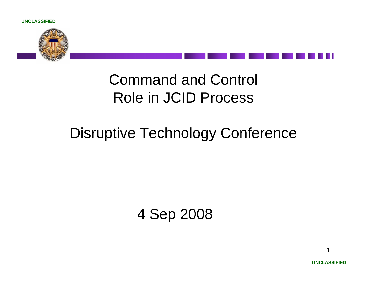



### Disruptive Technology Conference

4 Sep 2008

1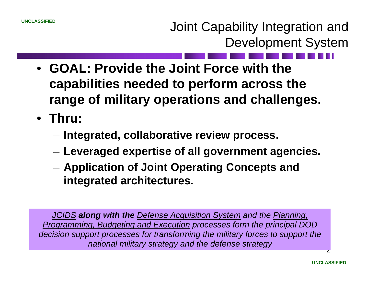Joint Capability Integration and Development System

- **GOAL: Provide the Joint Force with the capabilities needed to perform across the range of military operations and challenges.**
- **Thru:** 
	- **Links of the Common Integrated, collaborative review process.**
	- **Links of the Common Leveraged expertise of all government agencies.**
	- **Links of the Common Application of Joint Operating Concepts and integrated architectures.**

*JCIDS along with the Defense Acquisition System and the Planning, Programming, Budgeting and Execution processes form the principal DOD decision support processes for transforming the military forces to support the national military strategy and the defense strategy*

<u>،</u>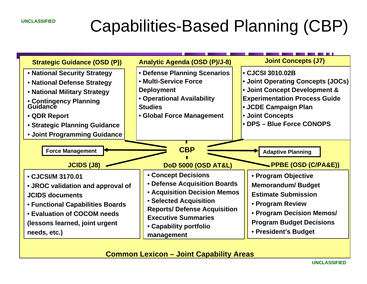## Capabilities-Based Planning (CBP)



**Common Lexicon – Joint Capability Areas**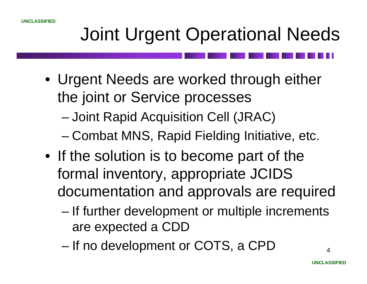# Joint Urgent Operational Needs

- Urgent Needs are worked through either the joint or Service processes
	- –Joint Rapid Acquisition Cell (JRAC)
	- and the state of the state Combat MNS, Rapid Fielding Initiative, etc.
- If the solution is to become part of the formal inventory, appropriate JCIDS documentation and approvals are required
	- and the state of the state If further development or multiple increments are expected a CDD
	- and the state of the state If no development or COTS, a CPD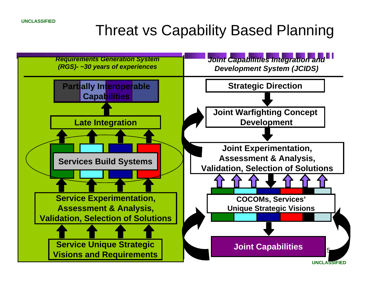## Threat vs Capability Based Planning

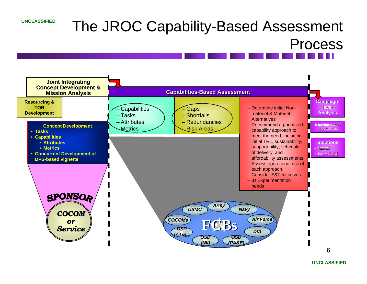## The JROC Capability-Based Assessment Process

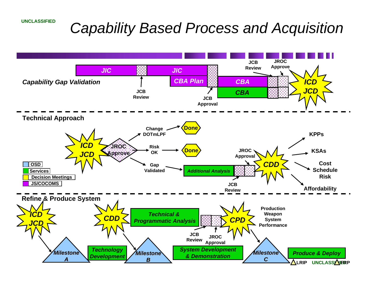### *Capability Based Process and Acquisition*

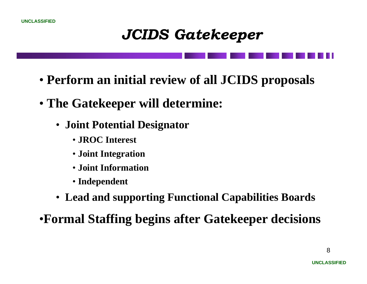### *JCIDS Gatekeeper*

- **Perform an initial review of all JCIDS proposals**
- **The Gatekeeper will determine:** 
	- **Joint Potential Designator**
		- **JROC Interest**
		- **Joint Integration**
		- **Joint Information**
		- **Independent**
	- **Lead and supporting Functional Capabilities Boards**

•**Formal Staffing begins after Gatekeeper decisions**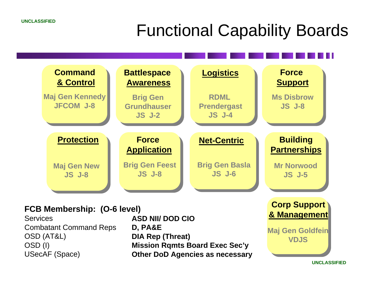## Functional Capability Boards



### **FCB Membership: (O-6 level)**

**Services** Combatant Command Reps OSD (AT&L) OSD (I) USecAF (Space)

**ASD NII/ DOD CIOD, PA&E DIA Rep (Threat) Mission Rqmts Board Exec Sec'y Other DoD Agencies as necessary**

**& Management Maj Gen Goldfein VDJS**

**UNCLASSIFIED**

9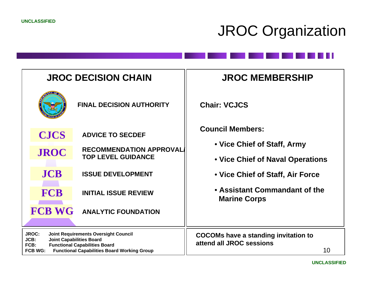## JROC Organization

| <b>JROC DECISION CHAIN</b>                                                                                                                                                                                                     |                                                             | <b>JROC MEMBERSHIP</b>                                                        |  |
|--------------------------------------------------------------------------------------------------------------------------------------------------------------------------------------------------------------------------------|-------------------------------------------------------------|-------------------------------------------------------------------------------|--|
|                                                                                                                                                                                                                                | <b>FINAL DECISION AUTHORITY</b>                             | <b>Chair: VCJCS</b>                                                           |  |
| <b>CJCS</b>                                                                                                                                                                                                                    | <b>ADVICE TO SECDEF</b>                                     | <b>Council Members:</b>                                                       |  |
| <b>JROC</b>                                                                                                                                                                                                                    | <b>RECOMMENDATION APPROVAL</b><br><b>TOP LEVEL GUIDANCE</b> | • Vice Chief of Staff, Army<br>• Vice Chief of Naval Operations               |  |
| <b>JCB</b>                                                                                                                                                                                                                     | <b>ISSUE DEVELOPMENT</b>                                    | • Vice Chief of Staff, Air Force                                              |  |
| <b>FCB</b>                                                                                                                                                                                                                     | <b>INITIAL ISSUE REVIEW</b>                                 | • Assistant Commandant of the<br><b>Marine Corps</b>                          |  |
| <b>FCB WG</b>                                                                                                                                                                                                                  | <b>ANALYTIC FOUNDATION</b>                                  |                                                                               |  |
| <b>JROC:</b><br><b>Joint Requirements Oversight Council</b><br>JCB:<br><b>Joint Capabilities Board</b><br><b>Functional Capabilities Board</b><br>FCB:<br><b>FCB WG:</b><br><b>Functional Capabilities Board Working Group</b> |                                                             | <b>COCOMs have a standing invitation to</b><br>attend all JROC sessions<br>10 |  |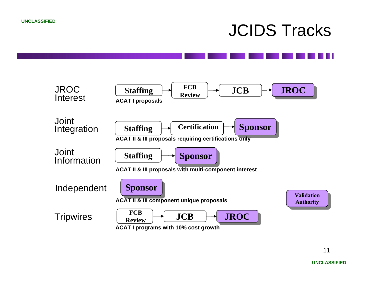## JCIDS Tracks

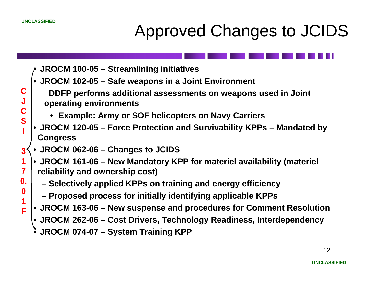**C**

**JC**

**S**

**I** 

**3**

**1**

**7**

**0.**

**0**

**1F**

# Approved Changes to JCIDS



- **JROCM 102-05 – Safe weapons in a Joint Environment**
- **DDFP performs additional assessments on weapons used in Joint operating environments**
	- **Example: Army or SOF helicopters on Navy Carriers**
- • **JROCM 120-05 – Force Protection and Survivability KPPs – Mandated by Congress**
- •**JROCM 062-06 – Changes to JCIDS**
- **JROCM 161-06 – New Mandatory KPP for materiel availability (materiel reliability and ownership cost)**
	- **Selectively applied KPPs on training and energy efficiency**
	- **Proposed process for initially identifying applicable KPPs**
- **JROCM 163-06 – New suspense and procedures for Comment Resolution**
- **JROCM 262-06 – Cost Drivers, Technology Readiness, Interdependency**
- •**JROCM 074-07 – System Training KPP**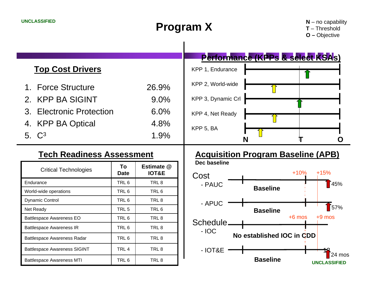### **Program X**

**N** – no capability

**T** – Threshold **O –** Objective

|                          |                  | Performance (KPPs & select KSAs) |  |
|--------------------------|------------------|----------------------------------|--|
| <b>Top Cost Drivers</b>  | KPP 1, Endurance |                                  |  |
| 1. Force Structure       | 26.9%            | KPP 2, World-wide                |  |
| 2. KPP BA SIGINT         | $9.0\%$          | KPP 3, Dynamic Crl               |  |
| 3. Electronic Protection | $6.0\%$          | KPP 4, Net Ready                 |  |
| 4. KPP BA Optical        | 4.8%             | KPP 5, BA                        |  |
| 5. $C^3$                 | 1.9%             | N                                |  |
|                          |                  |                                  |  |

### **Tech Readiness Assessment**

| <b>Critical Technologies</b>        | To<br><b>Date</b> | Estimate @<br><b>IOT&amp;E</b> | Dec baseline<br>Cost | $+10$                 |  |
|-------------------------------------|-------------------|--------------------------------|----------------------|-----------------------|--|
| Endurance                           | TRL <sub>6</sub>  | TRL <sub>8</sub>               | - PAUC               |                       |  |
| World-wide operations               | TRL <sub>6</sub>  | TRL 6                          |                      | <b>Baseline</b>       |  |
| <b>Dynamic Control</b>              | TRL 6             | TRL 8                          | - APUC               |                       |  |
| Net Ready                           | TRL <sub>5</sub>  | TRL 6                          |                      | <b>Baseline</b>       |  |
| <b>Battlespace Awareness EO</b>     | TRL <sub>6</sub>  | TRL <sub>8</sub>               | Schedule.            | $+6$ m                |  |
| <b>Battlespace Awareness IR</b>     | TRL <sub>6</sub>  | TRL <sub>8</sub>               | $-IOC$               |                       |  |
| Battlespace Awareness Radar         | TRL <sub>6</sub>  | TRL <sub>8</sub>               |                      | No established IOC in |  |
| <b>Battlespace Awareness SIGINT</b> | TRL <sub>4</sub>  | TRL 8                          | $-IOT&E$             |                       |  |
| <b>Battlespace Awareness MTI</b>    | TRL 6             | TRL 8                          |                      | <b>Baseline</b>       |  |

### **Acquisition Program Baseline (APB)**

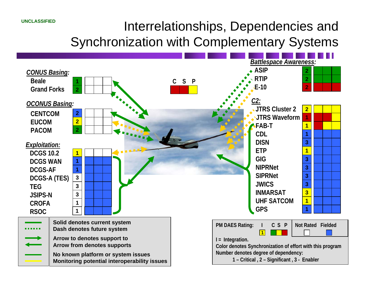### Interrelationships, Dependencies and

Synchronization with Complementary Systems

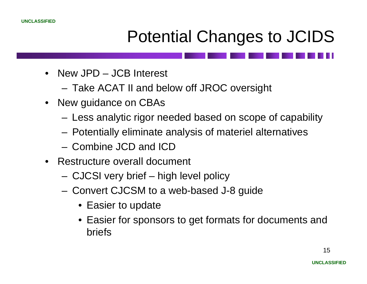

## Potential Changes to JCIDS

- New JPD JCB Interest
	- **Links of the Company** Take ACAT II and below off JROC oversight
- New guidance on CBAs
	- –Less analytic rigor needed based on scope of capability
	- Potentially eliminate analysis of materiel alternatives
	- Combine JCD and ICD
- Restructure overall document
	- **Links of the Company** CJCSI very brief – high level policy
	- **Links of the Company**  Convert CJCSM to a web-based J-8 guide
		- Easier to update
		- Easier for sponsors to get formats for documents and briefs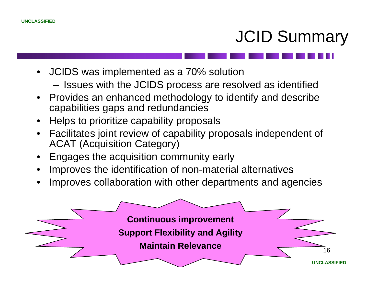# JCID Summary

- JCIDS was implemented as a 70% solution
	- **Links of the Company** Issues with the JCIDS process are resolved as identified
- Provides an enhanced methodology to identify and describe capabilities gaps and redundancies
- •Helps to prioritize capability proposals
- • Facilitates joint review of capability proposals independent of ACAT (Acquisition Category)
- •Engages the acquisition community early
- •Improves the identification of non-material alternatives
- •Improves collaboration with other departments and agencies

**Continuous improvement Support Flexibility and Agility Maintain Relevance**

16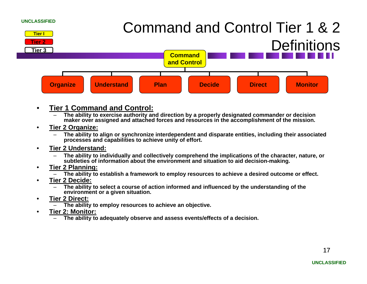

- • **Tier 1 Command and Control:**
	- – **The ability to exercise authority and direction by a properly designated commander or decision maker over assigned and attached forces and resources in the accomplishment of the mission.**
- • **Tier 2 Organize:**
	- – **The ability to align or synchronize interdependent and disparate entities, including their associated processes and capabilities to achieve unity of effort.**
- • **Tier 2 Understand:**
	- – **The ability to individually and collectively comprehend the implications of the character, nature, or subtleties of information about the environment and situation to aid decision-making.**
- • **Tier 2 Planning:**
	- –**The ability to establish a framework to employ resources to achieve a desired outcome or effect.**
- • **Tier 2 Decide:**
	- – **The ability to select a course of action informed and influenced by the understanding of the environment or a given situation.**
- • **Tier 2 Direct:**
	- –**The ability to employ resources to achieve an objective.**
- • **Tier 2: Monitor:**
	- –**The ability to adequately observe and assess events/effects of a decision.**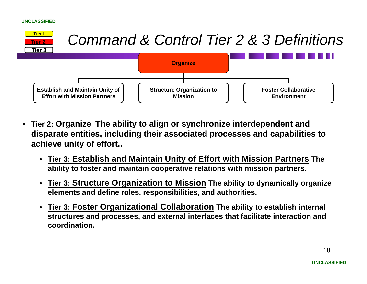

- $\bullet$  **Tier 2: Organize The ability to align or synchronize interdependent and disparate entities, including their associated processes and capabilities to achieve unity of effort..**
	- **Tier 3: Establish and Maintain Unity of Effort with Mission Partners The ability to foster and maintain cooperative relations with mission partners.**
	- $\bullet$  **Tier 3: Structure Organization to Mission The ability to dynamically organize elements and define roles, responsibilities, and authorities.**
	- $\bullet$  **Tier 3: Foster Organizational Collaboration The ability to establish internal structures and processes, and external interfaces that facilitate interaction and coordination.**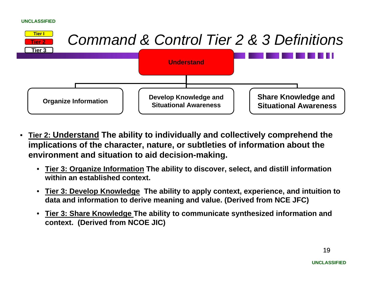

- • **Tier 2: Understand The ability to individually and collectively comprehend the implications of the character, nature, or subtleties of information about the environment and situation to aid decision-making.**
	- **Tier 3: Organize Information The ability to discover, select, and distill information within an established context.**
	- $\bullet$  **Tier 3: Develop Knowledge The ability to apply context, experience, and intuition to data and information to derive meaning and value. (Derived from NCE JFC)**
	- • **Tier 3: Share Knowledge The ability to communicate synthesized information and context. (Derived from NCOE JIC)**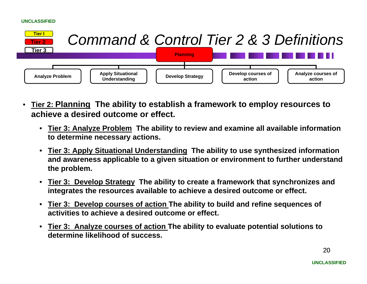

- • **Tier 2: Planning The ability to establish a framework to employ resources to achieve a desired outcome or effect.**
	- **Tier 3: Analyze Problem The ability to review and examine all available information to determine necessary actions.**
	- **Tier 3: Apply Situational Understanding The ability to use synthesized information and awareness applicable to a given situation or environment to further understand the problem.**
	- **Tier 3: Develop Strategy The ability to create a framework that synchronizes and integrates the resources available to achieve a desired outcome or effect.**
	- **Tier 3: Develop courses of action The ability to build and refine sequences of activities to achieve a desired outcome or effect.**
	- $\bullet$  **Tier 3: Analyze courses of action The ability to evaluate potential solutions to determine likelihood of success.**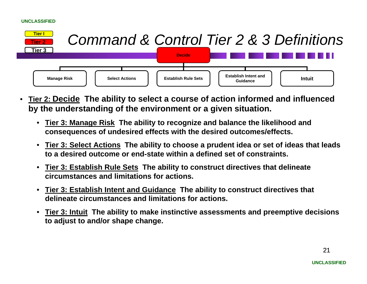

- • **Tier 2: Decide The ability to select a course of action informed and influenced by the understanding of the environment or a given situation.**
	- **Tier 3: Manage Risk The ability to recognize and balance the likelihood and consequences of undesired effects with the desired outcomes/effects.**
	- $\bullet$  **Tier 3: Select Actions The ability to choose a prudent idea or set of ideas that leads to a desired outcome or end-state within a defined set of constraints.**
	- $\bullet$  **Tier 3: Establish Rule Sets The ability to construct directives that delineate circumstances and limitations for actions.**
	- $\bullet$  **Tier 3: Establish Intent and Guidance The ability to construct directives that delineate circumstances and limitations for actions.**
	- $\bullet$  **Tier 3: Intuit The ability to make instinctive assessments and preemptive decisions to adjust to and/or shape change.**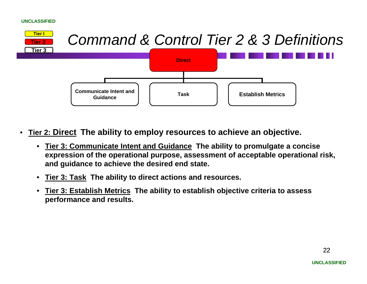

- • **Tier 2: Direct The ability to employ resources to achieve an objective.**
	- • **Tier 3: Communicate Intent and Guidance The ability to promulgate a concise expression of the operational purpose, assessment of acceptable operational risk, and guidance to achieve the desired end state.**
	- •**Tier 3: Task The ability to direct actions and resources.**
	- • **Tier 3: Establish Metrics The ability to establish objective criteria to assess performance and results.**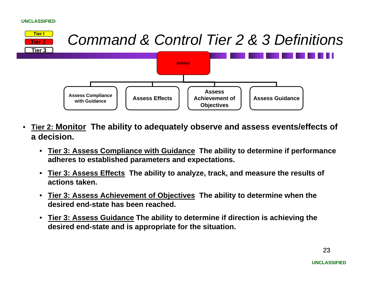

- • **Tier 2: Monitor The ability to adequately observe and assess events/effects of a decision.**
	- **Tier 3: Assess Compliance with Guidance The ability to determine if performance adheres to established parameters and expectations.**
	- $\bullet$  **Tier 3: Assess Effects The ability to analyze, track, and measure the results of actions taken.**
	- **Tier 3: Assess Achievement of Objectives The ability to determine when the desired end-state has been reached.**
	- **Tier 3: Assess Guidance The ability to determine if direction is achieving the desired end-state and is appropriate for the situation.**